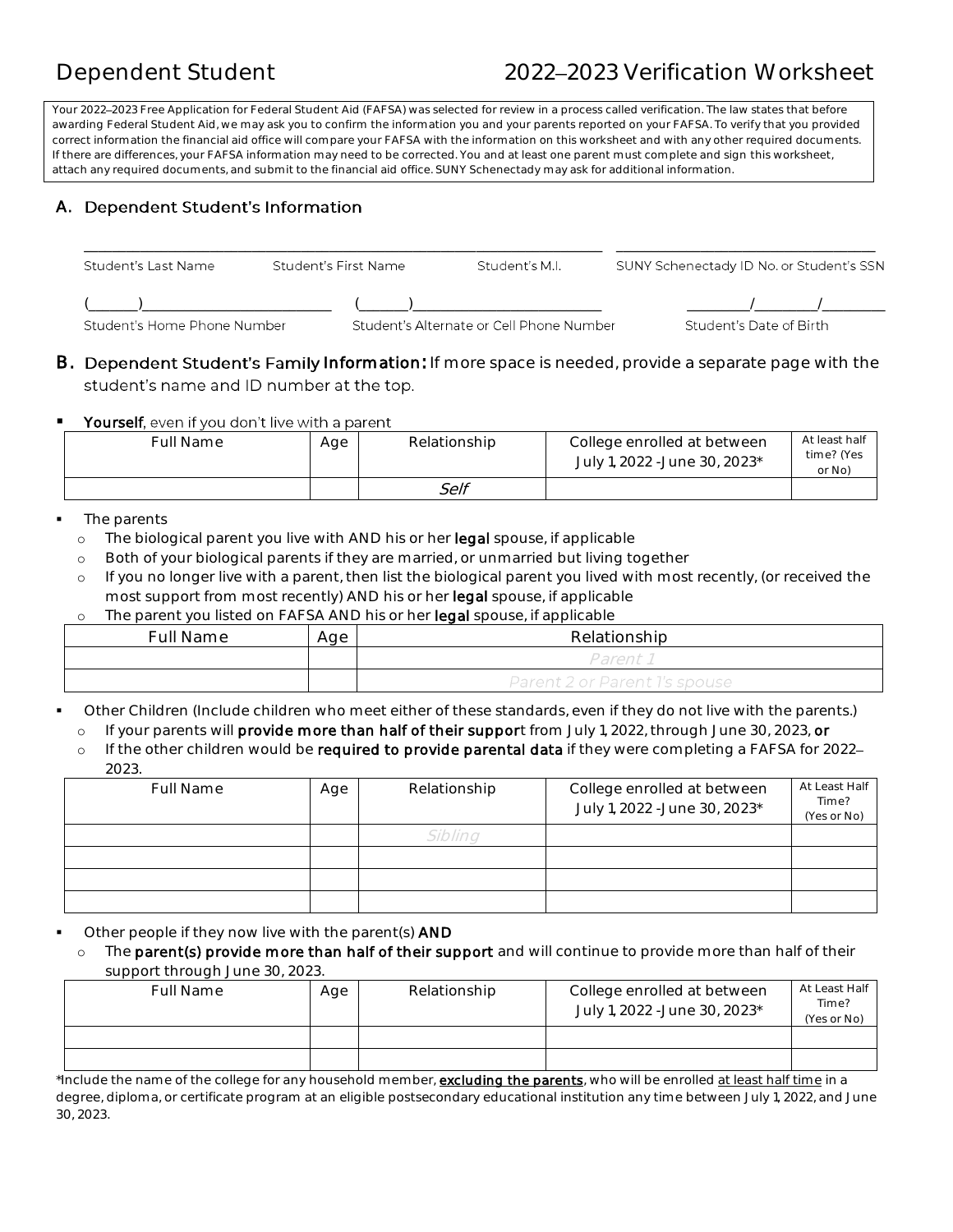# Dependent Student 2022 2023 Verification Worksheet

Your 2022 2023 Free Application for Federal Student Aid (FAFSA) was selected for review in a process called verification. The law states that before awarding Federal Student Aid, we may ask you to confirm the information you and your parents reported on your FAFSA. To verify that you provided correct information the financial aid office will compare your FAFSA with the information on this worksheet and with any other required documents. If there are differences, your FAFSA information may need to be corrected. You and at least one parent must complete and sign this worksheet, attach any required documents, and submit to the financial aid office. SUNY Schenectady may ask for additional information.

## **Dependent Student's Information**  A.

| Student's Last Name         | Student's First Name | Student's M.I.                           | SUNY Schenectady ID No. or Student's SSN |  |
|-----------------------------|----------------------|------------------------------------------|------------------------------------------|--|
| Student's Home Phone Number |                      | Student's Alternate or Cell Phone Number | Student's Date of Birth                  |  |

B. Dependent Student's Family Information: If more space is needed, provide a separate page with the student's name and ID number at the top.

## **Prophenom** You don't live with a parent

| Full Name | Age | Relationship | College enrolled at between<br>July 1, 2022 -June 30, 2023* | At least half<br>time? (Yes<br>or No) |
|-----------|-----|--------------|-------------------------------------------------------------|---------------------------------------|
|           |     | Self         |                                                             |                                       |

#### The parents

- o The biological parent you live with AND his or her legal spouse, if applicable
- o Both of your biological parents if they are married, or unmarried but living together
- o If you no longer live with a parent, then list the biological parent you lived with most recently, (or received the most support from most recently) AND his or her legal spouse, if applicable

o The parent you listed on FAFSA AND his or her legal spouse, if applicable

| Full Name | Age | Relationship                  |
|-----------|-----|-------------------------------|
|           |     | Parent i                      |
|           |     | Parent 2 or Parent 1's spouse |

Other Children (Include children who meet either of these standards, even if they do not live with the parents.)

o If your parents will **provide more than half of their suppor**t from July 1, 2022, through June 30, 2023, or

o If the other children would be **required to provide parental data** if they were completing a FAFSA for 2022- $2022$ 

| LVLV.            |     |                 |                                                             |                                       |
|------------------|-----|-----------------|-------------------------------------------------------------|---------------------------------------|
| <b>Full Name</b> | Age | Relationship    | College enrolled at between<br>July 1, 2022 -June 30, 2023* | At Least Half<br>Time?<br>(Yes or No) |
|                  |     | <i>``ihlinc</i> |                                                             |                                       |
|                  |     |                 |                                                             |                                       |
|                  |     |                 |                                                             |                                       |
|                  |     |                 |                                                             |                                       |

• Other people if they now live with the parent(s) **AND** 

o The parent(s) provide more than half of their support and will continue to provide more than half of their support through June 30, 2023.

| <b>Full Name</b>                                                                                                                                     | Age | Relationship | College enrolled at between<br>July 1, 2022 -June 30, 2023* | At Least Half<br>Time?<br>(Yes or No) |
|------------------------------------------------------------------------------------------------------------------------------------------------------|-----|--------------|-------------------------------------------------------------|---------------------------------------|
|                                                                                                                                                      |     |              |                                                             |                                       |
|                                                                                                                                                      |     |              |                                                             |                                       |
| *Include the name of the college for any household member, <b><u>excluding the parents</u></b> , who will be enrolled <u>at least half time</u> in a |     |              |                                                             |                                       |

 degree, diploma, or certificate program at an eligible postsecondary educational institution any time between July 1, 2022, and June 30, 2023.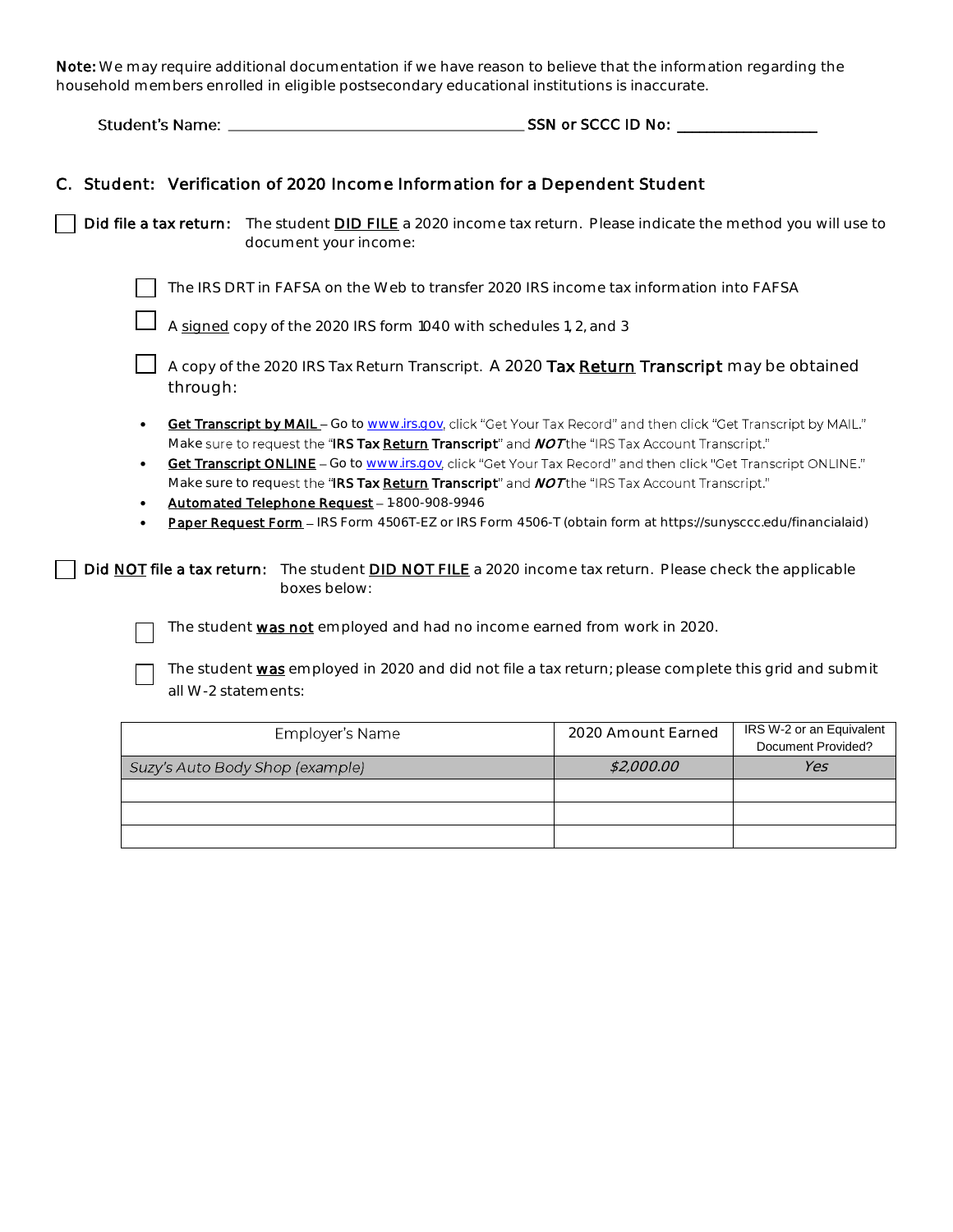Note: We may require additional documentation if we have reason to believe that the information regarding the household members enrolled in eligible postsecondary educational institutions is inaccurate.

**Student's Name:** \_\_\_\_\_\_\_\_\_\_\_\_\_\_\_\_\_ \_

□

SSN or SCCC ID No: \_\_\_\_\_\_\_\_\_\_\_\_\_\_\_\_\_\_\_

|  | C. Student: Verification of 2020 Income Information for a Dependent Student |
|--|-----------------------------------------------------------------------------|
|  |                                                                             |

 $\Box$  Did file a tax return: The student <u>DID FILE</u> a 2020 income tax return. Please indicate the method you will use to  $\overline{a}$ document your income:

◯ The IRS DRT in FAFSA on the Web to transfer 2020 IRS income tax information into FAFSA

A signed copy of the 2020 IRS form 1040 with schedules 1, 2, and 3

□ A copy of the 2020 IRS Tax Return Transcript. A 2020 **Tax <u>Return</u> Transcript** may be obtained the contracted the contracted the contracted the contracted the contracted the contracted the contracted the contracted the through:

- $\bullet$ throught.<br><mark>Get Transcript by MAIL –</mark> Go to <u>www.irs.gov</u>, click "Get Your Tax Record" and then click "Get Transcript by MAIL." Make sure to request the "IRS Tax <u>Return</u> Transcript" and *NOT* the "IRS Tax Account Transcript."
- Make sure to request the "IRS Tax <u>Return</u> Transcript" and *NOT* the "IRS Tax Account Transcript."<br>• Get Transcript ONLINE Go to <u>www.irs.gov,</u> click "Get Your Tax Record" and then click "Get Transcript ONLINE." Make sure to request the "IRS Tax <u>Return</u> Transcript" and *NOT* the "IRS Tax Account Transcript."
- Automated Telephone Request 1-800-908-9946
- $\bullet$ Paper Request Form - IRS Form 4506T-EZ or IRS Form 4506-T (obtain form at https://sunysccc.edu/financialaid)

**| Did <u>NOT</u> file a tax return**: The student <u>DID NOT FILE</u> a 2020 income tax return. Please check the applicable **|**<br>boxes below: boxes below:

The student was not employed and had no income earned from work in 2020.

The student <u>was</u> employed in 2020 and did not file a tax return; please complete this grid and submit  $\Box$  all W-2 statements:

| Employer's Name                 | 2020 Amount Earned | IRS W-2 or an Equivalent<br>Document Provided? |
|---------------------------------|--------------------|------------------------------------------------|
| Suzy's Auto Body Shop (example) | \$2,000.00         | Yes                                            |
|                                 |                    |                                                |
|                                 |                    |                                                |
|                                 |                    |                                                |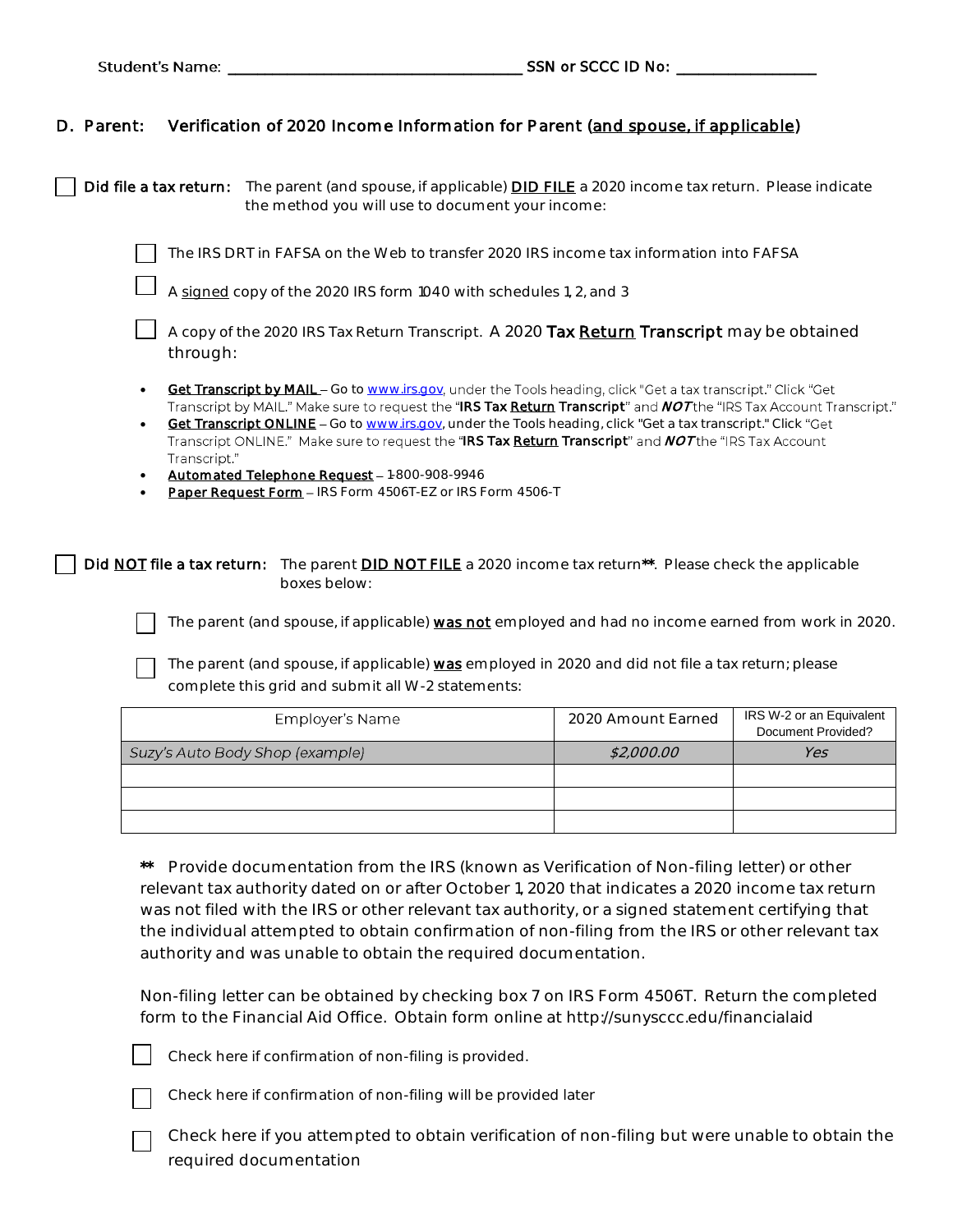## D. Parent: Verification of 2020 Income Information for Parent (and spouse, if applicable)

□ **Did file a tax return:** The parent (and spouse, if applicable) **DID FILE** a 2020 income tax return. Please indicate the method vou will use to document your income: the method you will use to document your income:

 The IRS DRT in FAFSA on the Web to transfer 2020 IRS income tax information into FAFSA □

□ A <u>signed</u> copy of the 2020 IRS form 1040 with schedules 1, 2, and 3

□ A copy of the 2020 IRS Tax Return Transcript. A 2020 **Tax <u>Return</u> Transcript** may be obtained<br>□ through:

- [----~](http://www.irs.gov/) under the Tools heading, click "Get a tax transcript." Click "Get Get Transcript by MAIL Go to www.irs.gov Transcript by MAIL." Make sure to request the "I**RS Tax <u>Return</u> Transcript**" and *NOT* the "IRS Tax Account Transcript."
- **Get Transcript ONLINE** Go t[o www.irs.gov,](http://www.irs.gov/) under the Tools heading, click "Get a tax transcript." Click "Get **"Get** Transcript ONLINE." Make sure to request the "**IRS Tax <u>Return</u> Transcript**" and *NOT* the "IRS Tax Account Transcript."
- Automated Telephone Request 1-800-908-9946
- Paper Request Form IRS Form 4506T-EZ or IRS Form 4506-T

□ **Did <u>NOT</u> file a tax return:** The parent <u>DID NOT FILE</u> a 2020 income tax return\*\*. Please check the applicable a<br>boxes below: boxes below:

> □ The parent (and spouse, if applicable) was not employed and had no income earned from work in 2020.

The parent (and spouse, if applicable)  $\underline{\textsf{was}}$  employed in 2020 and did not file a tax return; please □ complete this grid and submit all W-2 statements:

| Employer's Name                 | 2020 Amount Earned | IRS W-2 or an Equivalent<br>Document Provided? |
|---------------------------------|--------------------|------------------------------------------------|
| Suzy's Auto Body Shop (example) | \$2,000.00         | Yes                                            |
|                                 |                    |                                                |
|                                 |                    |                                                |
|                                 |                    |                                                |

 \*\* Provide documentation from the IRS (known as Verification of Non-filing letter) or other relevant tax authority dated on or after October 1, 2020 that indicates a 2020 income tax return was not filed with the IRS or other relevant tax authority, or a signed statement certifying that the individual attempted to obtain confirmation of non-filing from the IRS or other relevant tax authority and was unable to obtain the required documentation.

 Non-filing letter can be obtained by checking box 7 on IRS Form 4506T. Return the completed form to the Financial Aid Office. Obtain form online at [http://sunysccc.edu/financiala](http://sunysccc.edu/financial)id



Check here if confirmation of non-filing is provided.



□

Check here if confirmation of non-filing will be provided later

□ Check here if you attempted to obtain verification of non-filing but were unable to obtain the required documentation